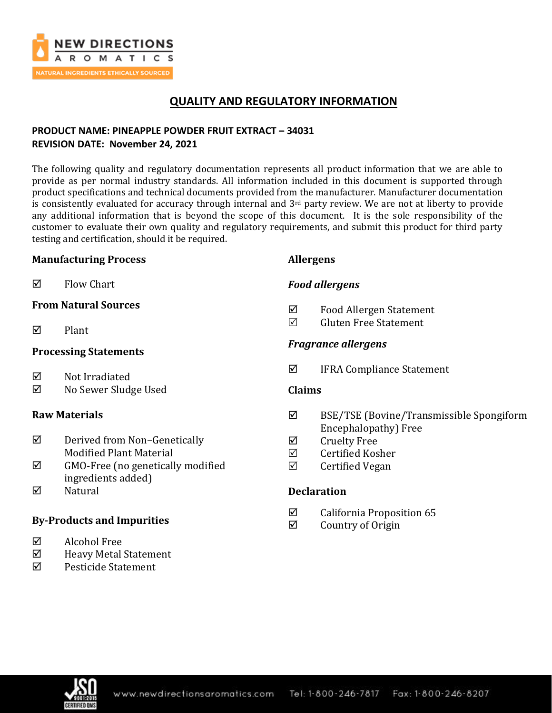

# **QUALITY AND REGULATORY INFORMATION**

## **PRODUCT NAME: PINEAPPLE POWDER FRUIT EXTRACT – 34031 REVISION DATE: November 24, 2021**

The following quality and regulatory documentation represents all product information that we are able to provide as per normal industry standards. All information included in this document is supported through product specifications and technical documents provided from the manufacturer. Manufacturer documentation is consistently evaluated for accuracy through internal and 3<sup>rd</sup> party review. We are not at liberty to provide any additional information that is beyond the scope of this document. It is the sole responsibility of the customer to evaluate their own quality and regulatory requirements, and submit this product for third party testing and certification, should it be required.

## **Manufacturing Process**

**Allergens**

*Food allergens*

 $\nabla$  Flow Chart

## **From Natural Sources**

 $\nabla$  Plant

## **Processing Statements**

- $\boxtimes$  Not Irradiated
- No Sewer Sludge Used

## **Raw Materials**

- Derived from Non–Genetically Modified Plant Material
- $\boxtimes$  GMO-Free (no genetically modified ingredients added)
- $\nabla$  Natural

# **By-Products and Impurities**

- Alcohol Free
- Heavy Metal Statement
- $\boxtimes$  Pesticide Statement

# *Fragrance allergens*

 $\boxtimes$  IFRA Compliance Statement

 $\boxtimes$  Food Allergen Statement  $\nabla$  Gluten Free Statement

## **Claims**

- BSE/TSE (Bovine/Transmissible Spongiform Encephalopathy) Free
- **☑** Cruelty Free
- $\boxtimes$  Certified Kosher
- $\boxtimes$  Certified Vegan

## **Declaration**

- $\boxtimes$  California Proposition 65
- $\boxtimes$  Country of Origin

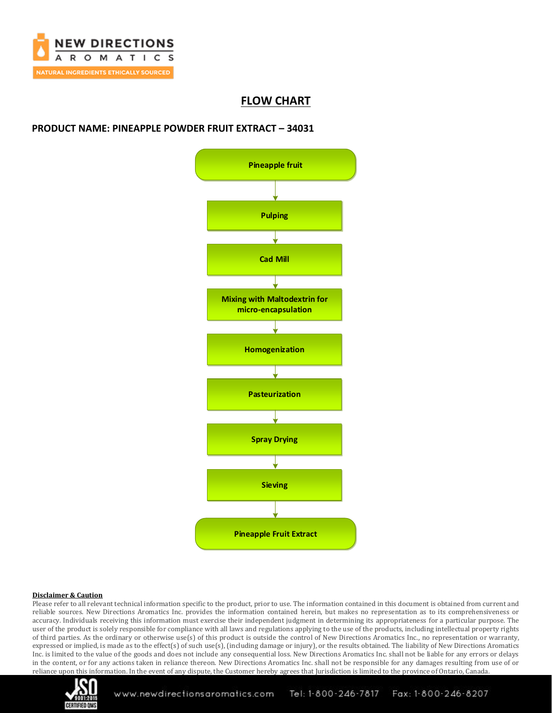

# **FLOW CHART**

### **PRODUCT NAME: PINEAPPLE POWDER FRUIT EXTRACT – 34031**



#### **Disclaimer & Caution**

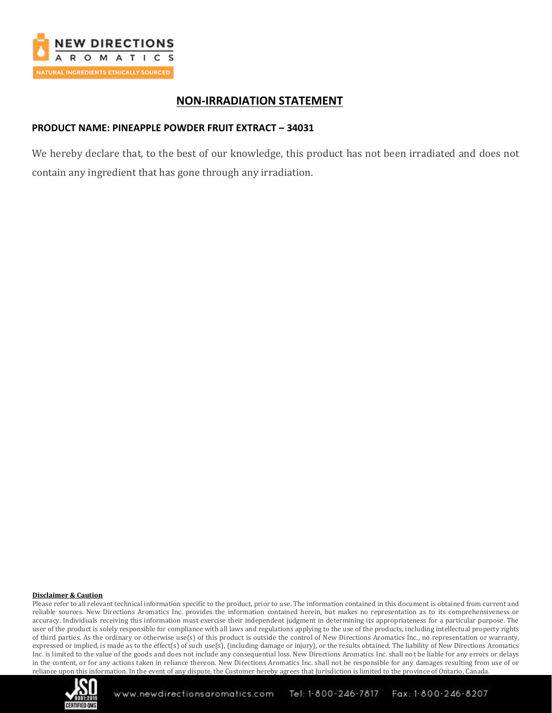

# **NON-IRRADIATION STATEMENT**

### **PRODUCT NAME: PINEAPPLE POWDER FRUIT EXTRACT – 34031**

We hereby declare that, to the best of our knowledge, this product has not been irradiated and does not contain any ingredient that has gone through any irradiation.

#### **Disclaimer & Caution**

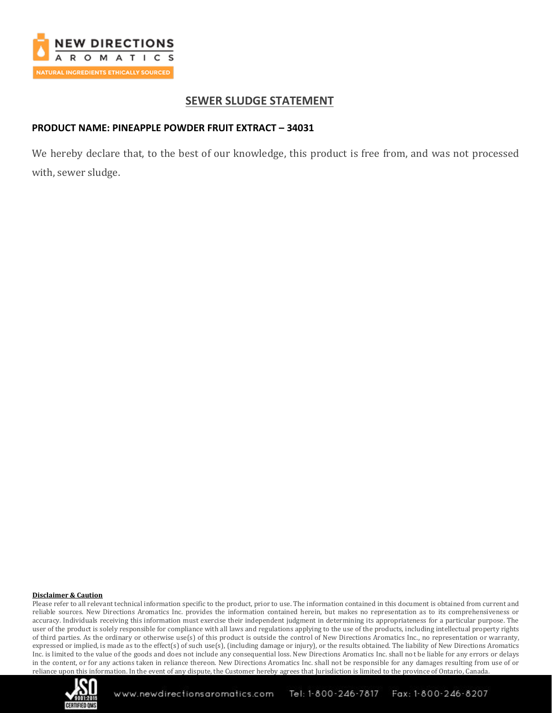

## **SEWER SLUDGE STATEMENT**

### **PRODUCT NAME: PINEAPPLE POWDER FRUIT EXTRACT – 34031**

We hereby declare that, to the best of our knowledge, this product is free from, and was not processed with, sewer sludge.

#### **Disclaimer & Caution**

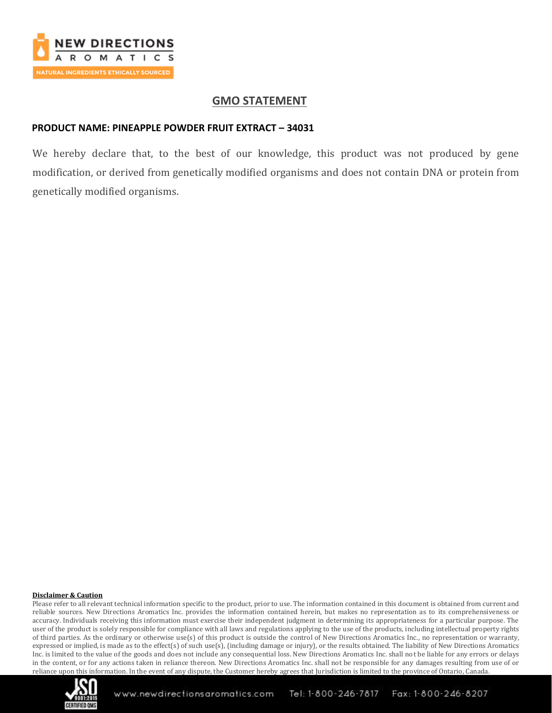

## **GMO STATEMENT**

### **PRODUCT NAME: PINEAPPLE POWDER FRUIT EXTRACT – 34031**

We hereby declare that, to the best of our knowledge, this product was not produced by gene modification, or derived from genetically modified organisms and does not contain DNA or protein from genetically modified organisms.

#### **Disclaimer & Caution**

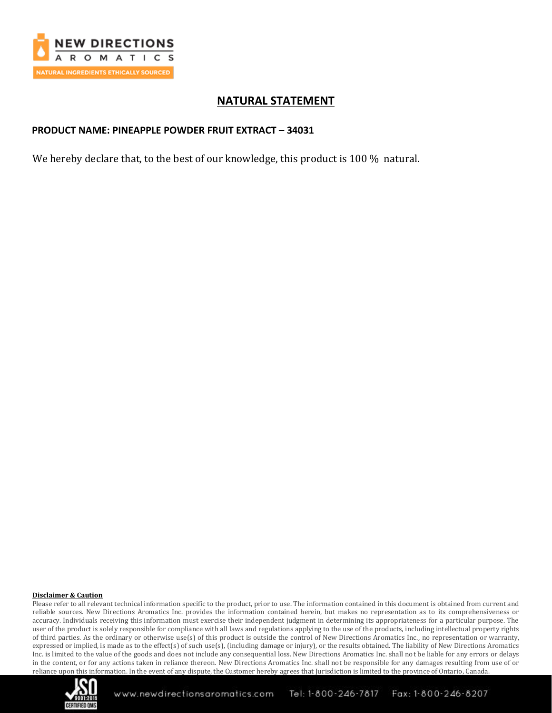

# **NATURAL STATEMENT**

### **PRODUCT NAME: PINEAPPLE POWDER FRUIT EXTRACT – 34031**

We hereby declare that, to the best of our knowledge, this product is 100 % natural.

#### **Disclaimer & Caution**

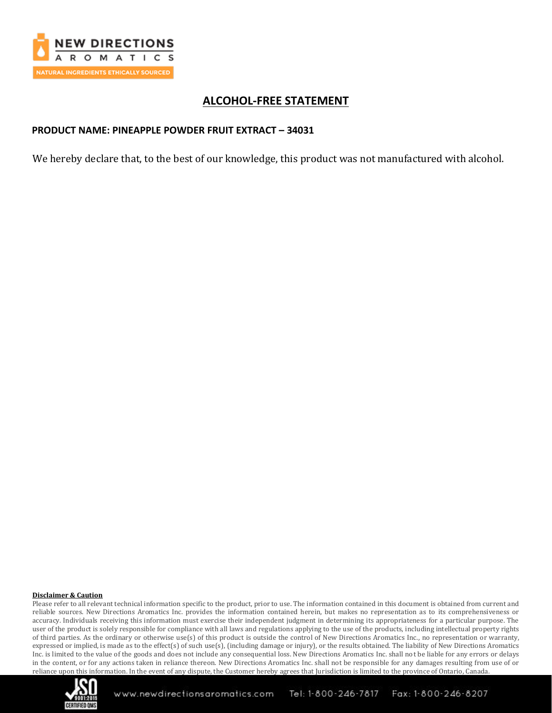

# **ALCOHOL-FREE STATEMENT**

### **PRODUCT NAME: PINEAPPLE POWDER FRUIT EXTRACT – 34031**

We hereby declare that, to the best of our knowledge, this product was not manufactured with alcohol.

#### **Disclaimer & Caution**

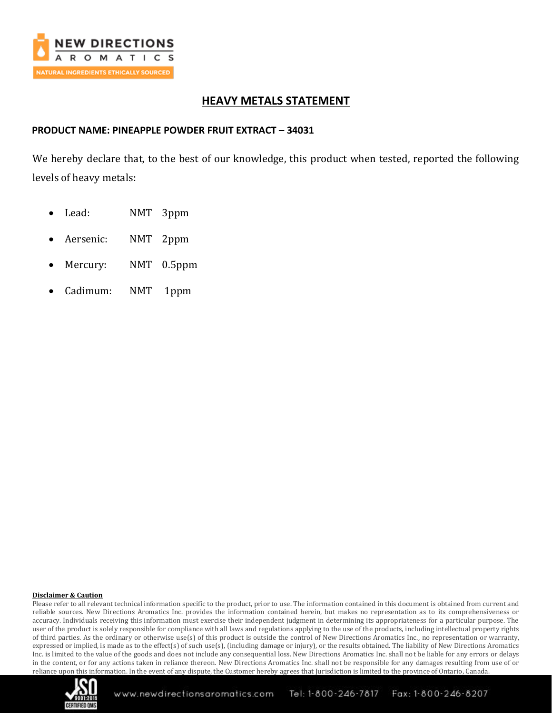

# **HEAVY METALS STATEMENT**

### **PRODUCT NAME: PINEAPPLE POWDER FRUIT EXTRACT – 34031**

We hereby declare that, to the best of our knowledge, this product when tested, reported the following levels of heavy metals:

- Lead: NMT 3ppm
- Aersenic: NMT 2ppm
- Mercury: NMT 0.5ppm
- Cadimum: NMT 1ppm

#### **Disclaimer & Caution**

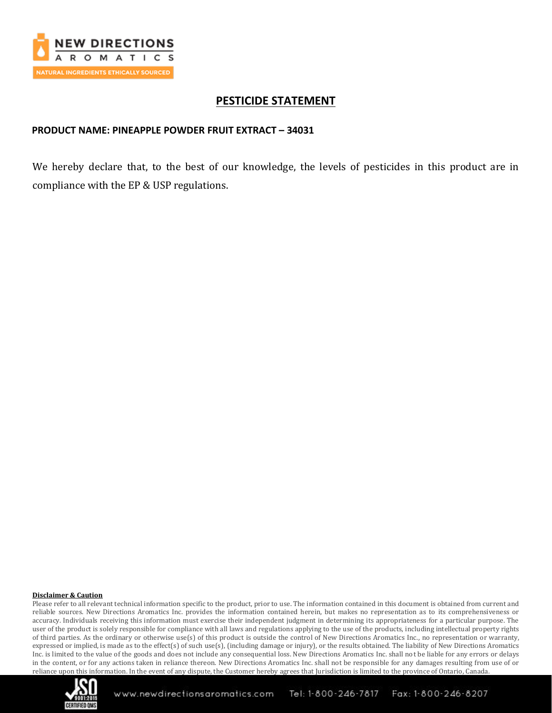

# **PESTICIDE STATEMENT**

### **PRODUCT NAME: PINEAPPLE POWDER FRUIT EXTRACT – 34031**

We hereby declare that, to the best of our knowledge, the levels of pesticides in this product are in compliance with the EP & USP regulations.

#### **Disclaimer & Caution**

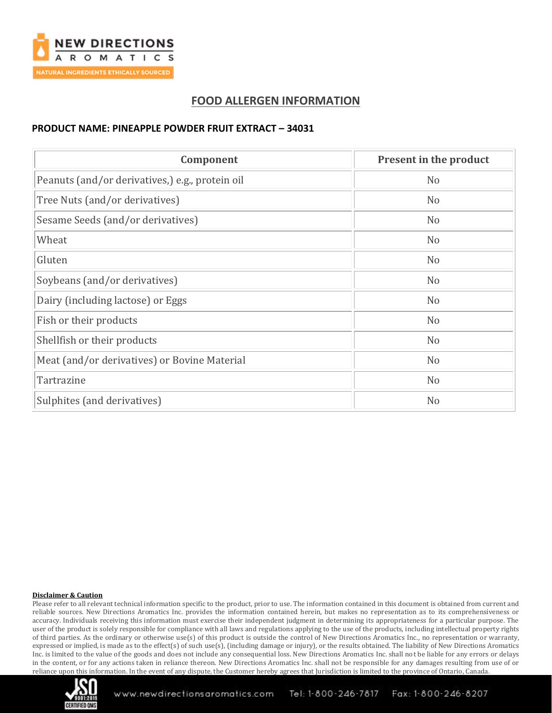

# **FOOD ALLERGEN INFORMATION**

## **PRODUCT NAME: PINEAPPLE POWDER FRUIT EXTRACT – 34031**

| Component                                       | Present in the product |
|-------------------------------------------------|------------------------|
| Peanuts (and/or derivatives,) e.g., protein oil | N <sub>o</sub>         |
| Tree Nuts (and/or derivatives)                  | N <sub>o</sub>         |
| Sesame Seeds (and/or derivatives)               | N <sub>o</sub>         |
| Wheat                                           | N <sub>o</sub>         |
| Gluten                                          | N <sub>o</sub>         |
| Soybeans (and/or derivatives)                   | N <sub>o</sub>         |
| Dairy (including lactose) or Eggs               | N <sub>o</sub>         |
| Fish or their products                          | N <sub>o</sub>         |
| Shellfish or their products                     | N <sub>o</sub>         |
| Meat (and/or derivatives) or Bovine Material    | N <sub>o</sub>         |
| Tartrazine                                      | N <sub>o</sub>         |
| Sulphites (and derivatives)                     | N <sub>o</sub>         |

#### **Disclaimer & Caution**

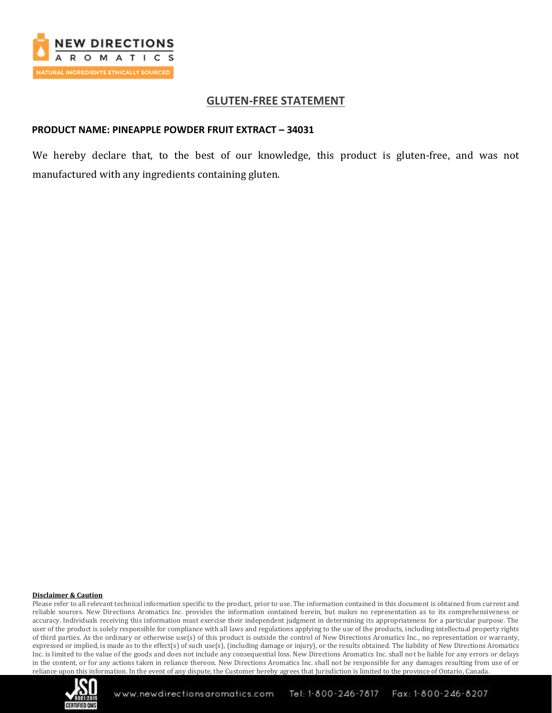

## **GLUTEN-FREE STATEMENT**

### **PRODUCT NAME: PINEAPPLE POWDER FRUIT EXTRACT – 34031**

We hereby declare that, to the best of our knowledge, this product is gluten-free, and was not manufactured with any ingredients containing gluten.

#### **Disclaimer & Caution**

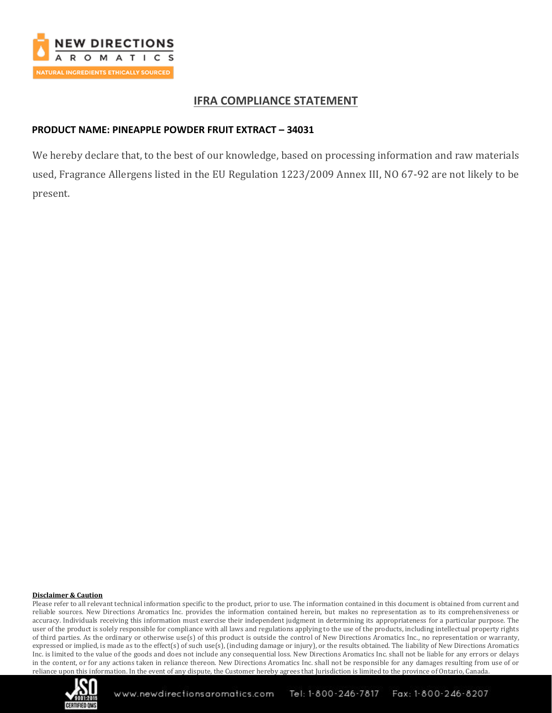

## **IFRA COMPLIANCE STATEMENT**

### **PRODUCT NAME: PINEAPPLE POWDER FRUIT EXTRACT – 34031**

We hereby declare that, to the best of our knowledge, based on processing information and raw materials used, Fragrance Allergens listed in the EU Regulation 1223/2009 Annex III, NO 67-92 are not likely to be present.

#### **Disclaimer & Caution**

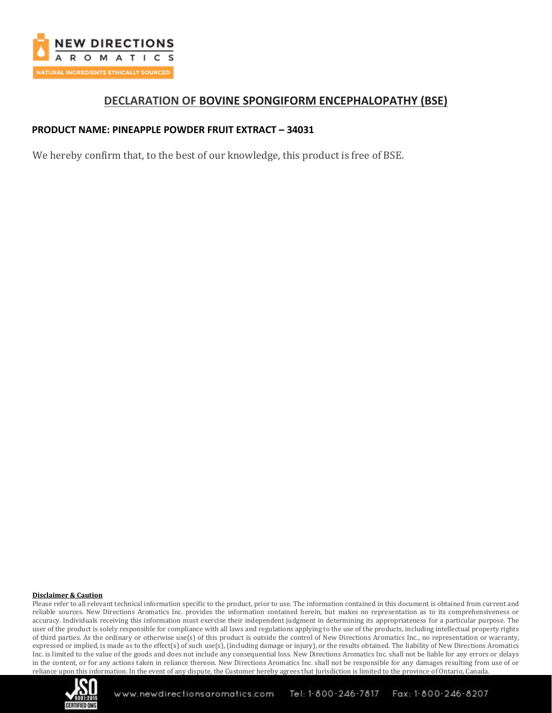

## **DECLARATION OF BOVINE SPONGIFORM ENCEPHALOPATHY (BSE)**

### **PRODUCT NAME: PINEAPPLE POWDER FRUIT EXTRACT – 34031**

We hereby confirm that, to the best of our knowledge, this product is free of BSE.

#### **Disclaimer & Caution**

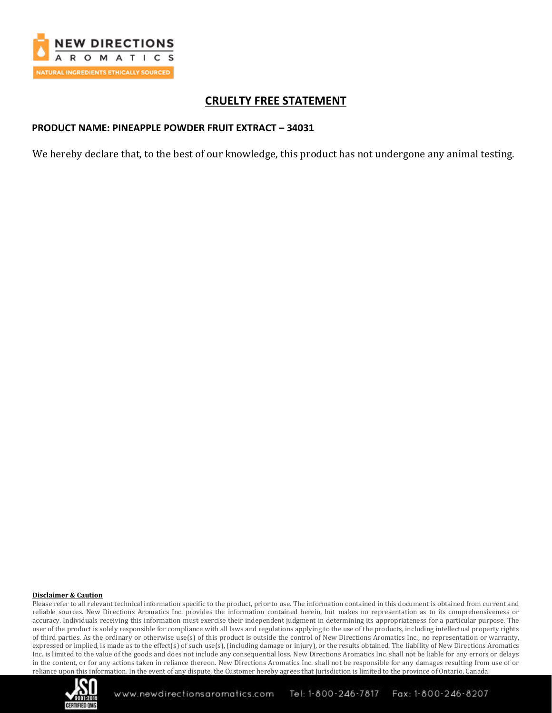

# **CRUELTY FREE STATEMENT**

### **PRODUCT NAME: PINEAPPLE POWDER FRUIT EXTRACT – 34031**

We hereby declare that, to the best of our knowledge, this product has not undergone any animal testing.

#### **Disclaimer & Caution**

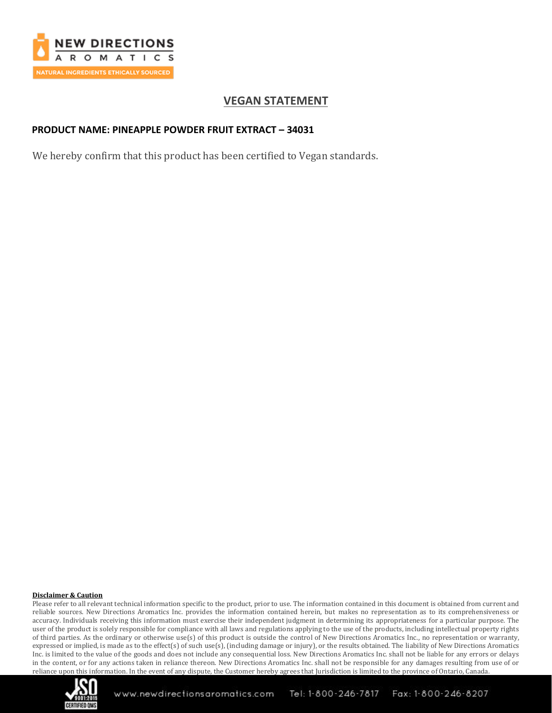

# **VEGAN STATEMENT**

## **PRODUCT NAME: PINEAPPLE POWDER FRUIT EXTRACT – 34031**

We hereby confirm that this product has been certified to Vegan standards.

#### **Disclaimer & Caution**

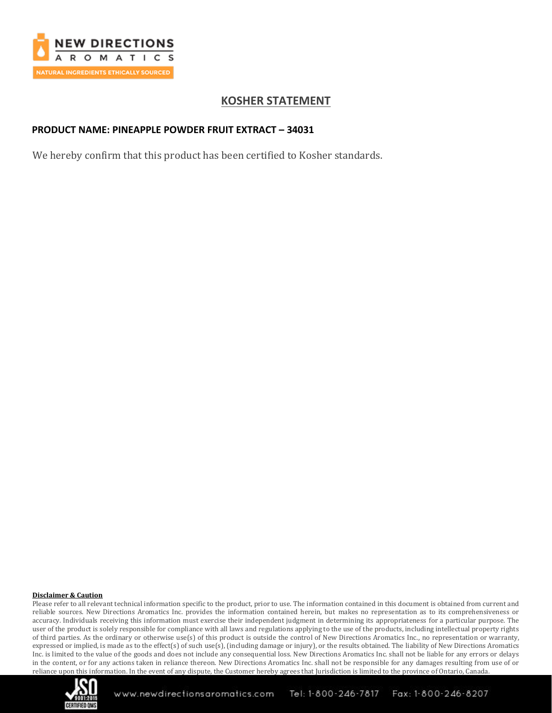

# **KOSHER STATEMENT**

### **PRODUCT NAME: PINEAPPLE POWDER FRUIT EXTRACT – 34031**

We hereby confirm that this product has been certified to Kosher standards.

#### **Disclaimer & Caution**

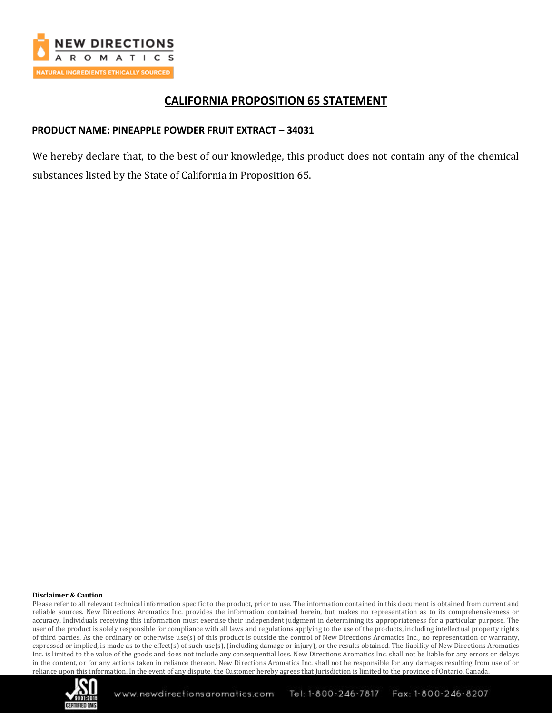

## **CALIFORNIA PROPOSITION 65 STATEMENT**

### **PRODUCT NAME: PINEAPPLE POWDER FRUIT EXTRACT – 34031**

We hereby declare that, to the best of our knowledge, this product does not contain any of the chemical substances listed by the State of California in Proposition 65.

#### **Disclaimer & Caution**